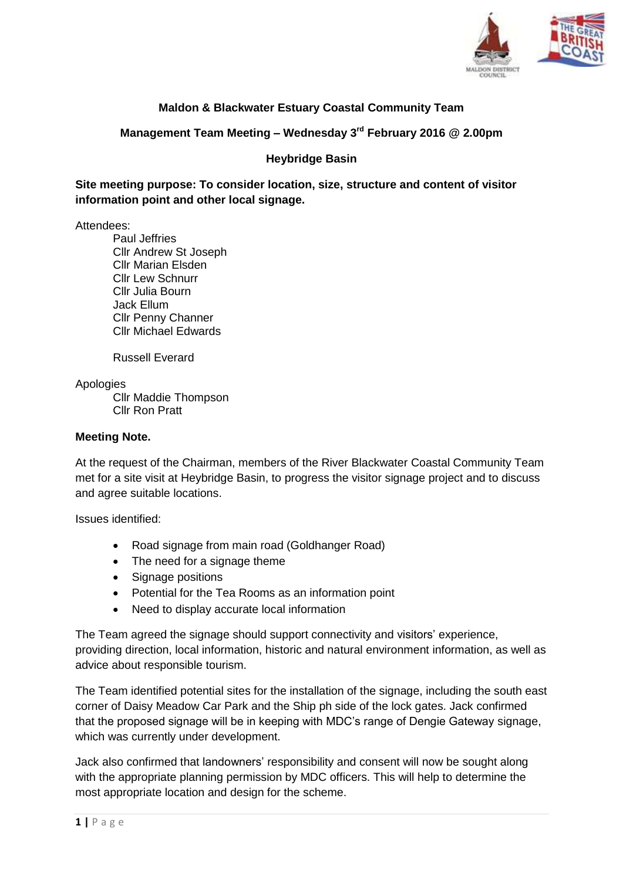

## **Maldon & Blackwater Estuary Coastal Community Team**

**Management Team Meeting – Wednesday 3rd February 2016 @ 2.00pm**

## **Heybridge Basin**

**Site meeting purpose: To consider location, size, structure and content of visitor information point and other local signage.**

Attendees:

Paul Jeffries Cllr Andrew St Joseph Cllr Marian Elsden Cllr Lew Schnurr Cllr Julia Bourn Jack Ellum Cllr Penny Channer Cllr Michael Edwards

Russell Everard

Apologies

Cllr Maddie Thompson Cllr Ron Pratt

## **Meeting Note.**

At the request of the Chairman, members of the River Blackwater Coastal Community Team met for a site visit at Heybridge Basin, to progress the visitor signage project and to discuss and agree suitable locations.

Issues identified:

- Road signage from main road (Goldhanger Road)
- The need for a signage theme
- Signage positions
- Potential for the Tea Rooms as an information point
- Need to display accurate local information

The Team agreed the signage should support connectivity and visitors' experience, providing direction, local information, historic and natural environment information, as well as advice about responsible tourism.

The Team identified potential sites for the installation of the signage, including the south east corner of Daisy Meadow Car Park and the Ship ph side of the lock gates. Jack confirmed that the proposed signage will be in keeping with MDC's range of Dengie Gateway signage, which was currently under development.

Jack also confirmed that landowners' responsibility and consent will now be sought along with the appropriate planning permission by MDC officers. This will help to determine the most appropriate location and design for the scheme.